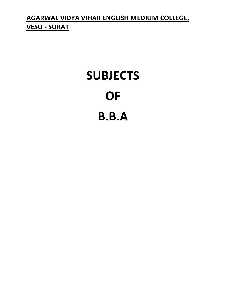**AGARWAL VIDYA VIHAR ENGLISH MEDIUM COLLEGE, VESU - SURAT**

# **SUBJECTS OF B.B.A**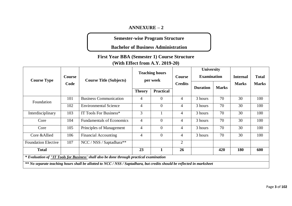#### **ANNEXURE – 2**

**Semester-wise Program Structure** 

**Bachelor of Business Administration**

**First Year BBA (Semester 1) Course Structure** 

**(With Effect from A.Y. 2019-20)**

| <b>Course Type</b>                                                                                                      | Course | <b>Course Title (Subjects)</b>   |                | <b>Teaching hours</b><br>per week | <b>Course</b>  | University<br><b>Examination</b> |              | <b>Internal</b> | <b>Total</b> |
|-------------------------------------------------------------------------------------------------------------------------|--------|----------------------------------|----------------|-----------------------------------|----------------|----------------------------------|--------------|-----------------|--------------|
|                                                                                                                         | Code   |                                  |                |                                   | <b>Credits</b> | <b>Duration</b>                  | <b>Marks</b> | <b>Marks</b>    | <b>Marks</b> |
|                                                                                                                         |        |                                  | <b>Theory</b>  | <b>Practical</b>                  |                |                                  |              |                 |              |
| Foundation                                                                                                              | 101    | <b>Business Communication</b>    | $\overline{4}$ | $\overline{0}$                    | $\overline{4}$ | 3 hours                          | 70           | 30              | 100          |
|                                                                                                                         | 102    | <b>Environmental Science</b>     | $\overline{4}$ | $\theta$                          | $\overline{4}$ | 3 hours                          | 70           | 30              | 100          |
| Interdisciplinary                                                                                                       | 103    | IT Tools For Business*           | 3              |                                   | $\overline{4}$ | 3 hours                          | 70           | 30              | 100          |
| Core                                                                                                                    | 104    | <b>Fundamentals of Economics</b> | $\overline{4}$ | $\overline{0}$                    | $\overline{4}$ | 3 hours                          | 70           | 30              | 100          |
| Core                                                                                                                    | 105    | Principles of Management         | $\overline{4}$ | $\theta$                          | $\overline{4}$ | 3 hours                          | 70           | 30              | 100          |
| Core & Allied                                                                                                           | 106    | <b>Financial Accounting</b>      | $\overline{4}$ | $\theta$                          | $\overline{4}$ | 3 hours                          | 70           | 30              | 100          |
| <b>Foundation Elective</b>                                                                                              | 107    | NCC / NSS / Saptadhara**         |                |                                   | $\overline{2}$ |                                  |              |                 |              |
| <b>Total</b>                                                                                                            |        |                                  | 23             | 1                                 | 26             |                                  | 420          | 180             | 600          |
| * Evaluation of "IT Tools for Business' shall also be done through practical examination                                |        |                                  |                |                                   |                |                                  |              |                 |              |
| ** No separate teaching hours shall be allotted to NCC / NSS / Saptadhara, but credits should be reflected in marksheet |        |                                  |                |                                   |                |                                  |              |                 |              |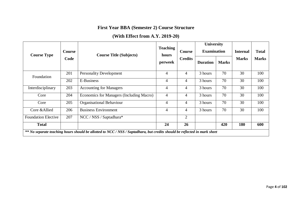## **First Year BBA (Semester 2) Course Structure**

# **(With Effect from A.Y. 2019-20)**

|                            |                       |                                                                                                                           | <b>Teaching</b>  |                          | <b>University</b><br><b>Examination</b> |              |                 |              |
|----------------------------|-----------------------|---------------------------------------------------------------------------------------------------------------------------|------------------|--------------------------|-----------------------------------------|--------------|-----------------|--------------|
| <b>Course Type</b>         | <b>Course</b><br>Code | <b>Course Title (Subjects)</b>                                                                                            | hours<br>perweek | Course<br><b>Credits</b> |                                         |              | <b>Internal</b> | <b>Total</b> |
|                            |                       |                                                                                                                           |                  |                          | <b>Duration</b>                         | <b>Marks</b> | <b>Marks</b>    | <b>Marks</b> |
| Foundation                 | 201                   | <b>Personality Development</b>                                                                                            | 4                | $\overline{4}$           | 3 hours                                 | 70           | 30              | 100          |
| 202                        |                       | E-Business                                                                                                                | $\overline{4}$   | $\overline{4}$           | 3 hours                                 | 70           | 30              | 100          |
| Interdisciplinary          | 203                   | <b>Accounting for Managers</b>                                                                                            | $\overline{4}$   | $\overline{4}$           | 3 hours                                 | 70           | 30              | 100          |
| Core                       | 204                   | Economics for Managers (Including Macro)                                                                                  | 4                | 4                        | 3 hours                                 | 70           | 30              | 100          |
| Core                       | 205                   | <b>Organisational Behaviour</b>                                                                                           | 4                | 4                        | 3 hours                                 | 70           | 30              | 100          |
| Core & Allied              | 206                   | <b>Business Environment</b>                                                                                               | 4                | $\overline{4}$           | 3 hours                                 | 70           | 30              | 100          |
| <b>Foundation Elective</b> | 207                   | NCC / NSS / Saptadhara*                                                                                                   |                  | 2                        |                                         |              |                 |              |
| <b>Total</b>               |                       |                                                                                                                           | 24               | 26                       |                                         | 420          | 180             | 600          |
|                            |                       | ** No separate teaching hours should be allotted to NCC / NSS / Saptadhara, but credits should be reflected in mark sheet |                  |                          |                                         |              |                 |              |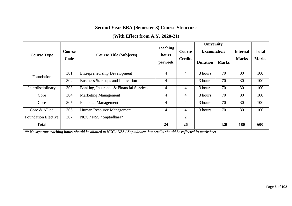# **Second Year BBA (Semester 3) Course Structure**

# **(With Effect from A.Y. 2020-21)**

| <b>Course Type</b>         | <b>Course</b> | <b>Course Title (Subjects)</b>                                                                                           | <b>Teaching</b><br>hours | Course         | <b>University</b><br><b>Examination</b> |              | <b>Internal</b> | <b>Total</b> |
|----------------------------|---------------|--------------------------------------------------------------------------------------------------------------------------|--------------------------|----------------|-----------------------------------------|--------------|-----------------|--------------|
|                            | Code          |                                                                                                                          | perweek                  | <b>Credits</b> | <b>Duration</b>                         | <b>Marks</b> | <b>Marks</b>    | <b>Marks</b> |
| Foundation                 | 301           | <b>Entrepreneurship Development</b>                                                                                      | $\overline{4}$           | $\overline{4}$ | 3 hours                                 | 70           | 30              | 100          |
| 302                        |               | Business Start-ups and Innovation                                                                                        | $\overline{4}$           | $\overline{4}$ | 3 hours                                 | 70           | 30              | 100          |
| Interdisciplinary          | 303           | Banking, Insurance & Financial Services                                                                                  | $\overline{4}$           | $\overline{4}$ | 3 hours                                 | 70           | 30              | 100          |
| Core                       | 304           | <b>Marketing Management</b>                                                                                              | $\overline{4}$           | $\overline{4}$ | 3 hours                                 | 70           | 30              | 100          |
| Core                       | 305           | <b>Financial Management</b>                                                                                              | $\overline{4}$           | 4              | 3 hours                                 | 70           | 30              | 100          |
| Core & Allied              | 306           | Human Resource Management                                                                                                | 4                        | 4              | 3 hours                                 | 70           | 30              | 100          |
| <b>Foundation Elective</b> | 307           | NCC / NSS / Saptadhara*                                                                                                  |                          | $\overline{2}$ |                                         |              |                 |              |
| <b>Total</b>               |               |                                                                                                                          | 24                       | 26             |                                         | 420          | 180             | 600          |
|                            |               | ** No separate teaching hours should be allotted to NCC / NSS / Saptadhara, but credits should be reflected in marksheet |                          |                |                                         |              |                 |              |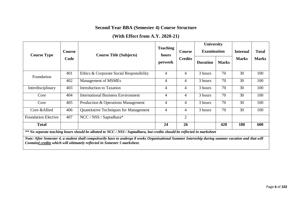## **Second Year BBA (Semester 4) Course Structure**

# **(With Effect from A.Y. 2020-21)**

| <b>Course Type</b>                                                                                                                                                                                                              | <b>Course</b> | <b>Course Title (Subjects)</b>                |                  | <b>Course</b>  | <b>University</b><br><b>Examination</b> |              | <b>Internal</b> | <b>Total</b> |
|---------------------------------------------------------------------------------------------------------------------------------------------------------------------------------------------------------------------------------|---------------|-----------------------------------------------|------------------|----------------|-----------------------------------------|--------------|-----------------|--------------|
|                                                                                                                                                                                                                                 | Code          |                                               | hours<br>perweek | <b>Credits</b> | <b>Duration</b>                         | <b>Marks</b> | <b>Marks</b>    | <b>Marks</b> |
| Foundation                                                                                                                                                                                                                      | 401           | Ethics & Corporate Social Responsibility      | 4                | 4              | 3 hours                                 | 70           | 30              | 100          |
|                                                                                                                                                                                                                                 | 402           | Management of MSMEs                           | 4                | 4              | 3 hours                                 | 70           | 30              | 100          |
| Interdisciplinary                                                                                                                                                                                                               | 403           | <b>Introduction to Taxation</b>               | $\overline{4}$   | $\overline{4}$ | 3 hours                                 | 70           | 30              | 100          |
| Core                                                                                                                                                                                                                            | 404           | <b>International Business Environment</b>     | $\overline{4}$   | $\overline{4}$ | 3 hours                                 | 70           | 30              | 100          |
| Core                                                                                                                                                                                                                            | 405           | Production & Operations Management            | 4                | 4              | 3 hours                                 | 70           | 30              | 100          |
| Core & Allied                                                                                                                                                                                                                   | 406           | <b>Quantitative Techniques for Management</b> | 4                | 4              | 3 hours                                 | 70           | 30              | 100          |
| <b>Foundation Elective</b>                                                                                                                                                                                                      | 407           | NCC / NSS / Saptadhara*                       |                  | $\overline{2}$ |                                         |              |                 |              |
| <b>Total</b>                                                                                                                                                                                                                    |               |                                               | 24               | 26             |                                         | 420          | 180             | 600          |
| ** No separate teaching hours should be allotted to NCC / NSS / Saptadhara, but credits should be reflected in marksheet                                                                                                        |               |                                               |                  |                |                                         |              |                 |              |
| Note: After Semester 4, a student shall compulsorily have to undergo 8 weeks Organisational Summer Internship during summer vacation and that will<br>Contain4 credits which will ultimately reflected in Semester 5 marksheet. |               |                                               |                  |                |                                         |              |                 |              |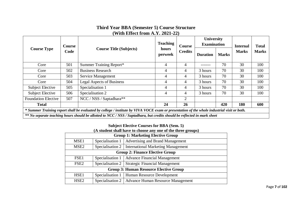#### **Third Year BBA (Semester 5) Course Structure (With Effect from A.Y. 2021-22)**

|                                                                                                                                             | Course |                                                                                                                           | <b>Teaching</b>  | Course         | University<br><b>Examination</b> |              | <b>Internal</b><br><b>Marks</b> | <b>Total</b> |
|---------------------------------------------------------------------------------------------------------------------------------------------|--------|---------------------------------------------------------------------------------------------------------------------------|------------------|----------------|----------------------------------|--------------|---------------------------------|--------------|
| <b>Course Type</b>                                                                                                                          | Code   | <b>Course Title (Subjects)</b>                                                                                            | hours<br>perweek | <b>Credits</b> | <b>Duration</b>                  | <b>Marks</b> |                                 | <b>Marks</b> |
| Core                                                                                                                                        | 501    | Summer Training Report*                                                                                                   | $\overline{4}$   | 4              |                                  | 70           | 30                              | 100          |
| Core                                                                                                                                        | 502    | <b>Business Research</b>                                                                                                  | 4                | 4              | 3 hours                          | 70           | 30                              | 100          |
| Core                                                                                                                                        | 503    | Service Management                                                                                                        | 4                | 4              | 3 hours                          | 70           | 30                              | 100          |
| Core                                                                                                                                        | 504    | <b>Legal Aspects of Business</b>                                                                                          | 4                | 4              | 3 hours                          | 70           | 30                              | 100          |
| <b>Subject Elective</b>                                                                                                                     | 505    | Specialisation 1                                                                                                          | 4                | 4              | 3 hours                          | 70           | 30                              | 100          |
| <b>Subject Elective</b>                                                                                                                     | 506    | Specialisation 2                                                                                                          | 4                | 4              | 3 hours                          | 70           | 30                              | 100          |
| <b>Foundation Elective</b>                                                                                                                  | 507    | NCC / NSS / Saptadhara**                                                                                                  |                  | 2              |                                  |              |                                 |              |
| <b>Total</b>                                                                                                                                |        |                                                                                                                           | 24               | 26             |                                  | 420          | 180                             | 600          |
| * Summer Training report shall be evaluated by college / institute by VIVA VOCE exam or presentation of the whole industrial visit or both. |        |                                                                                                                           |                  |                |                                  |              |                                 |              |
|                                                                                                                                             |        | ** No separate teaching hours should be allotted to NCC / NSS / Saptadhara, but credits should be reflected in mark sheet |                  |                |                                  |              |                                 |              |

## **Subject Elective Courses for BBA (Sem. 5)**

| (A student shall have to choose any one of the three groups) |  |
|--------------------------------------------------------------|--|
|--------------------------------------------------------------|--|

| <b>Group 1: Marketing Elective Group</b>      |                                                       |  |  |  |
|-----------------------------------------------|-------------------------------------------------------|--|--|--|
|                                               | Specialisation 1   Advertising and Brand Management   |  |  |  |
|                                               | Specialisation 2   International Marketing Management |  |  |  |
| <b>Group 2: Finance Elective Group</b>        |                                                       |  |  |  |
|                                               | Specialisation 1   Advance Financial Management       |  |  |  |
| Specialisation $2$                            | <b>Strategic Financial Management</b>                 |  |  |  |
| <b>Group 3: Human Resource Elective Group</b> |                                                       |  |  |  |
|                                               | Specialisation 1   Human Resource Development         |  |  |  |
|                                               | Specialisation 2   Advance Human Resource Management  |  |  |  |
|                                               |                                                       |  |  |  |